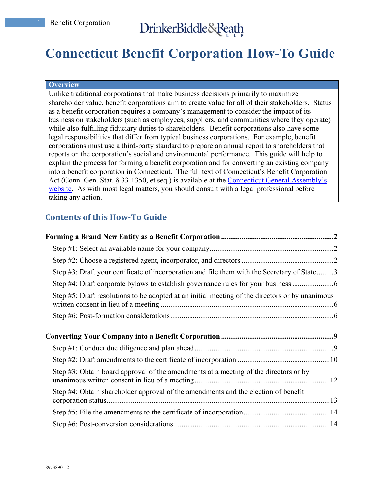# **Connecticut Benefit Corporation How-To Guide**

#### **Overview**

Unlike traditional corporations that make business decisions primarily to maximize shareholder value, benefit corporations aim to create value for all of their stakeholders. Status as a benefit corporation requires a company's management to consider the impact of its business on stakeholders (such as employees, suppliers, and communities where they operate) while also fulfilling fiduciary duties to shareholders. Benefit corporations also have some legal responsibilities that differ from typical business corporations. For example, benefit corporations must use a third-party standard to prepare an annual report to shareholders that reports on the corporation's social and environmental performance. This guide will help to explain the process for forming a benefit corporation and for converting an existing company into a benefit corporation in Connecticut. The full text of Connecticut's Benefit Corporation Act (Conn. Gen. Stat. § 33-1350, et seq.) is available at the Connecticut General Assembly's website. As with most legal matters, you should consult with a legal professional before taking any action.

# **Contents of this How-To Guide**

| Step #3: Draft your certificate of incorporation and file them with the Secretary of State3     |  |
|-------------------------------------------------------------------------------------------------|--|
| Step #4: Draft corporate bylaws to establish governance rules for your business                 |  |
| Step #5: Draft resolutions to be adopted at an initial meeting of the directors or by unanimous |  |
|                                                                                                 |  |
|                                                                                                 |  |
|                                                                                                 |  |
|                                                                                                 |  |
|                                                                                                 |  |
| Step #3: Obtain board approval of the amendments at a meeting of the directors or by            |  |
| Step #4: Obtain shareholder approval of the amendments and the election of benefit              |  |
|                                                                                                 |  |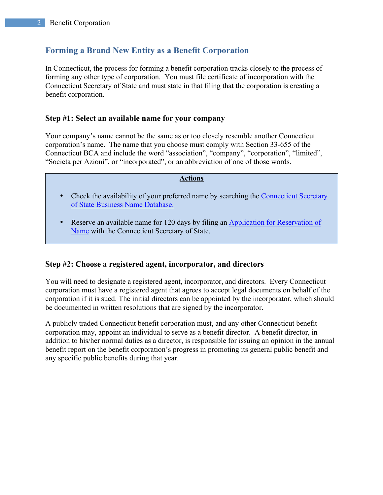# **Forming a Brand New Entity as a Benefit Corporation**

In Connecticut, the process for forming a benefit corporation tracks closely to the process of forming any other type of corporation. You must file certificate of incorporation with the Connecticut Secretary of State and must state in that filing that the corporation is creating a benefit corporation.

### **Step #1: Select an available name for your company**

Your company's name cannot be the same as or too closely resemble another Connecticut corporation's name. The name that you choose must comply with Section 33-655 of the Connecticut BCA and include the word "association", "company", "corporation", "limited", "Societa per Azioni", or "incorporated", or an abbreviation of one of those words.

#### **Actions**

- Check the availability of your preferred name by searching the Connecticut Secretary of State Business Name Database.
- Reserve an available name for 120 days by filing an Application for Reservation of Name with the Connecticut Secretary of State.

### **Step #2: Choose a registered agent, incorporator, and directors**

You will need to designate a registered agent, incorporator, and directors. Every Connecticut corporation must have a registered agent that agrees to accept legal documents on behalf of the corporation if it is sued. The initial directors can be appointed by the incorporator, which should be documented in written resolutions that are signed by the incorporator.

A publicly traded Connecticut benefit corporation must, and any other Connecticut benefit corporation may, appoint an individual to serve as a benefit director. A benefit director, in addition to his/her normal duties as a director, is responsible for issuing an opinion in the annual benefit report on the benefit corporation's progress in promoting its general public benefit and any specific public benefits during that year.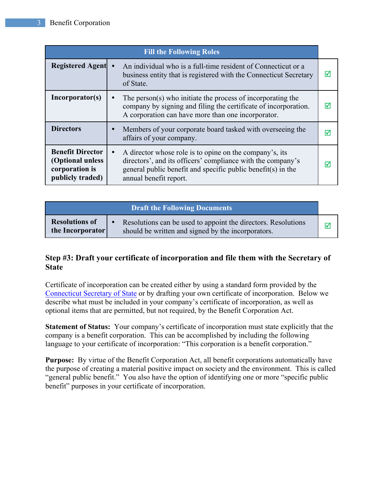| <b>Fill the Following Roles</b>                                                   |                                                                                                                                                                                                                               |   |
|-----------------------------------------------------------------------------------|-------------------------------------------------------------------------------------------------------------------------------------------------------------------------------------------------------------------------------|---|
| <b>Registered Agent</b>                                                           | An individual who is a full-time resident of Connecticut or a<br>business entity that is registered with the Connecticut Secretary<br>of State.                                                                               | ☑ |
| Incorporator(s)                                                                   | The person(s) who initiate the process of incorporating the<br>$\bullet$<br>company by signing and filing the certificate of incorporation.<br>A corporation can have more than one incorporator.                             | ⋈ |
| <b>Directors</b>                                                                  | Members of your corporate board tasked with overseeing the<br>$\bullet$<br>affairs of your company.                                                                                                                           | ∨ |
| <b>Benefit Director</b><br>(Optional unless<br>corporation is<br>publicly traded) | A director whose role is to opine on the company's, its<br>$\bullet$<br>directors', and its officers' compliance with the company's<br>general public benefit and specific public benefit(s) in the<br>annual benefit report. | ∇ |

| <b>Draft the Following Documents</b>      |                                                                                                                     |          |
|-------------------------------------------|---------------------------------------------------------------------------------------------------------------------|----------|
| <b>Resolutions of</b><br>the Incorporator | Resolutions can be used to appoint the directors. Resolutions<br>should be written and signed by the incorporators. | $\nabla$ |

# **Step #3: Draft your certificate of incorporation and file them with the Secretary of State**

Certificate of incorporation can be created either by using a standard form provided by the Connecticut Secretary of State or by drafting your own certificate of incorporation. Below we describe what must be included in your company's certificate of incorporation, as well as optional items that are permitted, but not required, by the Benefit Corporation Act.

**Statement of Status:** Your company's certificate of incorporation must state explicitly that the company is a benefit corporation. This can be accomplished by including the following language to your certificate of incorporation: "This corporation is a benefit corporation."

**Purpose:** By virtue of the Benefit Corporation Act, all benefit corporations automatically have the purpose of creating a material positive impact on society and the environment. This is called "general public benefit." You also have the option of identifying one or more "specific public benefit" purposes in your certificate of incorporation.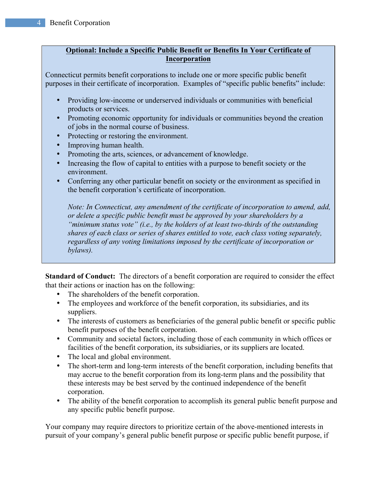### **Optional: Include a Specific Public Benefit or Benefits In Your Certificate of Incorporation**

Connecticut permits benefit corporations to include one or more specific public benefit purposes in their certificate of incorporation. Examples of "specific public benefits" include:

- Providing low-income or underserved individuals or communities with beneficial products or services.
- Promoting economic opportunity for individuals or communities beyond the creation of jobs in the normal course of business.
- Protecting or restoring the environment.
- Improving human health.
- Promoting the arts, sciences, or advancement of knowledge.
- Increasing the flow of capital to entities with a purpose to benefit society or the environment.
- Conferring any other particular benefit on society or the environment as specified in the benefit corporation's certificate of incorporation.

*Note: In Connecticut, any amendment of the certificate of incorporation to amend, add, or delete a specific public benefit must be approved by your shareholders by a "minimum status vote" (i.e., by the holders of at least two-thirds of the outstanding shares of each class or series of shares entitled to vote, each class voting separately, regardless of any voting limitations imposed by the certificate of incorporation or bylaws).*

**Standard of Conduct:** The directors of a benefit corporation are required to consider the effect that their actions or inaction has on the following:

- The shareholders of the benefit corporation.
- The employees and workforce of the benefit corporation, its subsidiaries, and its suppliers.
- The interests of customers as beneficiaries of the general public benefit or specific public benefit purposes of the benefit corporation.
- Community and societal factors, including those of each community in which offices or facilities of the benefit corporation, its subsidiaries, or its suppliers are located.
- The local and global environment.
- The short-term and long-term interests of the benefit corporation, including benefits that may accrue to the benefit corporation from its long-term plans and the possibility that these interests may be best served by the continued independence of the benefit corporation.
- The ability of the benefit corporation to accomplish its general public benefit purpose and any specific public benefit purpose.

Your company may require directors to prioritize certain of the above-mentioned interests in pursuit of your company's general public benefit purpose or specific public benefit purpose, if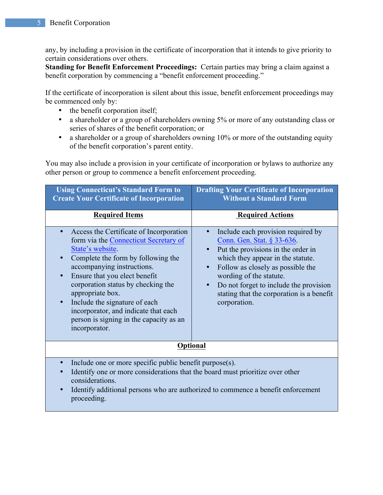any, by including a provision in the certificate of incorporation that it intends to give priority to certain considerations over others.

**Standing for Benefit Enforcement Proceedings:** Certain parties may bring a claim against a benefit corporation by commencing a "benefit enforcement proceeding."

If the certificate of incorporation is silent about this issue, benefit enforcement proceedings may be commenced only by:

- the benefit corporation itself;
- a shareholder or a group of shareholders owning 5% or more of any outstanding class or series of shares of the benefit corporation; or
- a shareholder or a group of shareholders owning 10% or more of the outstanding equity of the benefit corporation's parent entity.

You may also include a provision in your certificate of incorporation or bylaws to authorize any other person or group to commence a benefit enforcement proceeding.

| <b>Using Connecticut's Standard Form to</b><br><b>Create Your Certificate of Incorporation</b>                                                                                                                                                                                                                                                                                                                                                                                                                                                                                                                    | <b>Drafting Your Certificate of Incorporation</b><br><b>Without a Standard Form</b>                                                                                                                                                                                                                                                                       |  |
|-------------------------------------------------------------------------------------------------------------------------------------------------------------------------------------------------------------------------------------------------------------------------------------------------------------------------------------------------------------------------------------------------------------------------------------------------------------------------------------------------------------------------------------------------------------------------------------------------------------------|-----------------------------------------------------------------------------------------------------------------------------------------------------------------------------------------------------------------------------------------------------------------------------------------------------------------------------------------------------------|--|
| <b>Required Items</b>                                                                                                                                                                                                                                                                                                                                                                                                                                                                                                                                                                                             | <b>Required Actions</b>                                                                                                                                                                                                                                                                                                                                   |  |
| Access the Certificate of Incorporation<br>$\bullet$<br>form via the Connecticut Secretary of<br>State's website.<br>Complete the form by following the<br>$\bullet$<br>accompanying instructions.<br>Ensure that you elect benefit<br>$\bullet$<br>corporation status by checking the<br>appropriate box.<br>Include the signature of each<br>$\bullet$<br>incorporator, and indicate that each<br>person is signing in the capacity as an<br>incorporator.                                                                                                                                                      | Include each provision required by<br>Conn. Gen. Stat. § 33-636.<br>Put the provisions in the order in<br>$\bullet$<br>which they appear in the statute.<br>Follow as closely as possible the<br>$\bullet$<br>wording of the statute.<br>Do not forget to include the provision<br>$\bullet$<br>stating that the corporation is a benefit<br>corporation. |  |
| <b>Optional</b>                                                                                                                                                                                                                                                                                                                                                                                                                                                                                                                                                                                                   |                                                                                                                                                                                                                                                                                                                                                           |  |
| Include one or more specific public benefit purpose(s).<br>$\bullet$<br>Identify one or more considerations that the board must prioritize over other<br>$\bullet$<br>considerations.<br>$\mathbf{I} = \mathbf{I} \cdot \mathbf{I} \cdot \mathbf{I}$ and $\mathbf{I} = \mathbf{I} \cdot \mathbf{I}$ and $\mathbf{I} = \mathbf{I} \cdot \mathbf{I}$ and $\mathbf{I} \cdot \mathbf{I} \cdot \mathbf{I}$ and $\mathbf{I} \cdot \mathbf{I} \cdot \mathbf{I} \cdot \mathbf{I}$ and $\mathbf{I} \cdot \mathbf{I} \cdot \mathbf{I} \cdot \mathbf{I} \cdot \mathbf{I} \cdot \mathbf{I} \cdot \mathbf{I} \cdot \mathbf{I}$ |                                                                                                                                                                                                                                                                                                                                                           |  |

• Identify additional persons who are authorized to commence a benefit enforcement proceeding.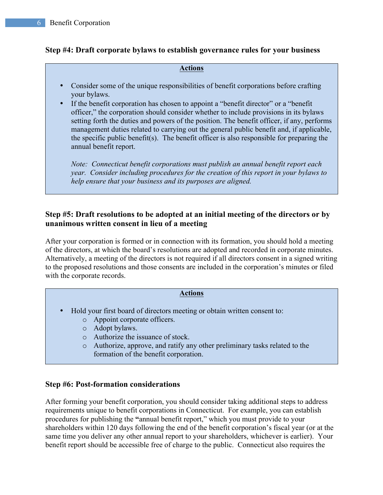## **Step #4: Draft corporate bylaws to establish governance rules for your business**

#### **Actions**

- Consider some of the unique responsibilities of benefit corporations before crafting your bylaws.
- If the benefit corporation has chosen to appoint a "benefit director" or a "benefit officer," the corporation should consider whether to include provisions in its bylaws setting forth the duties and powers of the position. The benefit officer, if any, performs management duties related to carrying out the general public benefit and, if applicable, the specific public benefit(s). The benefit officer is also responsible for preparing the annual benefit report.

*Note: Connecticut benefit corporations must publish an annual benefit report each year. Consider including procedures for the creation of this report in your bylaws to help ensure that your business and its purposes are aligned.* 

# **Step #5: Draft resolutions to be adopted at an initial meeting of the directors or by unanimous written consent in lieu of a meeting**

After your corporation is formed or in connection with its formation, you should hold a meeting of the directors, at which the board's resolutions are adopted and recorded in corporate minutes. Alternatively, a meeting of the directors is not required if all directors consent in a signed writing to the proposed resolutions and those consents are included in the corporation's minutes or filed with the corporate records.

### **Actions**

- Hold your first board of directors meeting or obtain written consent to:
	- o Appoint corporate officers.
	- o Adopt bylaws.
	- o Authorize the issuance of stock.
	- o Authorize, approve, and ratify any other preliminary tasks related to the formation of the benefit corporation.

### **Step #6: Post-formation considerations**

After forming your benefit corporation, you should consider taking additional steps to address requirements unique to benefit corporations in Connecticut. For example, you can establish procedures for publishing the **"**annual benefit report," which you must provide to your shareholders within 120 days following the end of the benefit corporation's fiscal year (or at the same time you deliver any other annual report to your shareholders, whichever is earlier). Your benefit report should be accessible free of charge to the public. Connecticut also requires the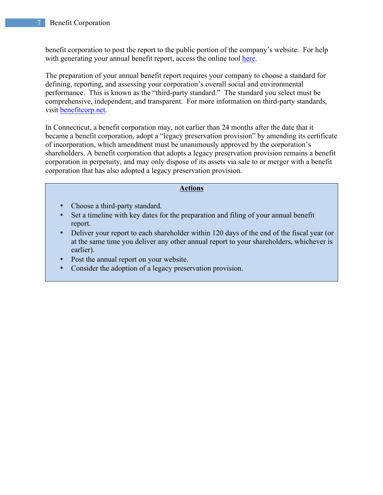benefit corporation to post the report to the public portion of the company's website. For help with generating your annual benefit report, access the online tool here.

The preparation of your annual benefit report requires your company to choose a standard for defining, reporting, and assessing your corporation's overall social and environmental performance. This is known as the "third-party standard." The standard you select must be comprehensive, independent, and transparent. For more information on third-party standards, visit benefitcorp.net.

In Connecticut, a benefit corporation may, not earlier than 24 months after the date that it became a benefit corporation, adopt a "legacy preservation provision" by amending its certificate of incorporation, which amendment must be unanimously approved by the corporation's shareholders. A benefit corporation that adopts a legacy preservation provision remains a benefit corporation in perpetuity, and may only dispose of its assets via sale to or merger with a benefit corporation that has also adopted a legacy preservation provision.

### **Actions**

- Choose a third-party standard.
- Set a timeline with key dates for the preparation and filing of your annual benefit report.
- Deliver your report to each shareholder within 120 days of the end of the fiscal year (or at the same time you deliver any other annual report to your shareholders, whichever is earlier).
- Post the annual report on your website.
- Consider the adoption of a legacy preservation provision.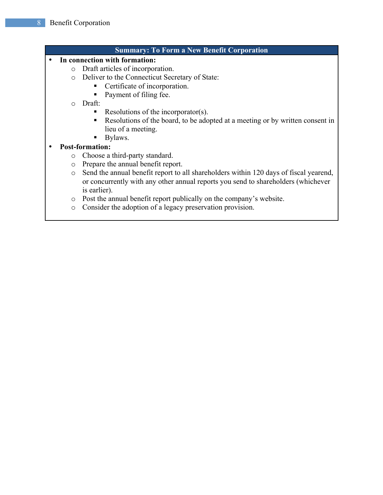- **Summary: To Form a New Benefit Corporation** • **In connection with formation:**  o Draft articles of incorporation. o Deliver to the Connecticut Secretary of State: ■ Certificate of incorporation. ■ Payment of filing fee. o Draft: ■ Resolutions of the incorporator(s). ■ Resolutions of the board, to be adopted at a meeting or by written consent in lieu of a meeting. ■ Bylaws. • **Post-formation:** o Choose a third-party standard. o Prepare the annual benefit report. o Send the annual benefit report to all shareholders within 120 days of fiscal yearend, or concurrently with any other annual reports you send to shareholders (whichever is earlier). o Post the annual benefit report publically on the company's website.
	- o Consider the adoption of a legacy preservation provision.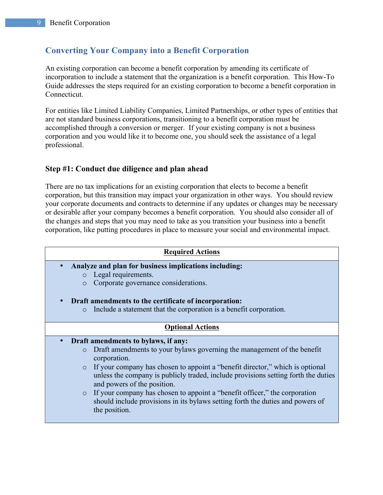# **Converting Your Company into a Benefit Corporation**

An existing corporation can become a benefit corporation by amending its certificate of incorporation to include a statement that the organization is a benefit corporation. This How-To Guide addresses the steps required for an existing corporation to become a benefit corporation in Connecticut.

For entities like Limited Liability Companies, Limited Partnerships, or other types of entities that are not standard business corporations, transitioning to a benefit corporation must be accomplished through a conversion or merger. If your existing company is not a business corporation and you would like it to become one, you should seek the assistance of a legal professional.

# **Step #1: Conduct due diligence and plan ahead**

There are no tax implications for an existing corporation that elects to become a benefit corporation, but this transition may impact your organization in other ways. You should review your corporate documents and contracts to determine if any updates or changes may be necessary or desirable after your company becomes a benefit corporation. You should also consider all of the changes and steps that you may need to take as you transition your business into a benefit corporation, like putting procedures in place to measure your social and environmental impact.

| <b>Required Actions</b>                               |                                                                                                                                                                                                    |  |
|-------------------------------------------------------|----------------------------------------------------------------------------------------------------------------------------------------------------------------------------------------------------|--|
| Analyze and plan for business implications including: |                                                                                                                                                                                                    |  |
| $\circ$                                               | Legal requirements.                                                                                                                                                                                |  |
| $\circ$                                               | Corporate governance considerations.                                                                                                                                                               |  |
| Draft amendments to the certificate of incorporation: |                                                                                                                                                                                                    |  |
| $\circ$                                               | Include a statement that the corporation is a benefit corporation.                                                                                                                                 |  |
| <b>Optional Actions</b>                               |                                                                                                                                                                                                    |  |
| $\bullet$                                             | Draft amendments to bylaws, if any:                                                                                                                                                                |  |
| $\circ$                                               | Draft amendments to your bylaws governing the management of the benefit<br>corporation.                                                                                                            |  |
| $\circ$                                               | If your company has chosen to appoint a "benefit director," which is optional<br>unless the company is publicly traded, include provisions setting forth the duties<br>and powers of the position. |  |
| $\circ$                                               | If your company has chosen to appoint a "benefit officer," the corporation<br>should include provisions in its by laws setting forth the duties and powers of<br>the position.                     |  |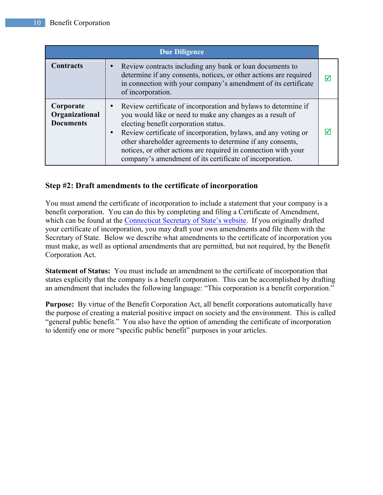| <b>Due Diligence</b>                            |                                                                                                                                                                                                                                                                                                                                                                                                                                   |                         |
|-------------------------------------------------|-----------------------------------------------------------------------------------------------------------------------------------------------------------------------------------------------------------------------------------------------------------------------------------------------------------------------------------------------------------------------------------------------------------------------------------|-------------------------|
| <b>Contracts</b>                                | Review contracts including any bank or loan documents to<br>determine if any consents, notices, or other actions are required<br>in connection with your company's amendment of its certificate<br>of incorporation.                                                                                                                                                                                                              | $\overline{\mathsf{M}}$ |
| Corporate<br>Organizational<br><b>Documents</b> | Review certificate of incorporation and bylaws to determine if<br>you would like or need to make any changes as a result of<br>electing benefit corporation status.<br>Review certificate of incorporation, bylaws, and any voting or<br>other shareholder agreements to determine if any consents,<br>notices, or other actions are required in connection with your<br>company's amendment of its certificate of incorporation. | M                       |

# **Step #2: Draft amendments to the certificate of incorporation**

You must amend the certificate of incorporation to include a statement that your company is a benefit corporation. You can do this by completing and filing a Certificate of Amendment, which can be found at the Connecticut Secretary of State's website. If you originally drafted your certificate of incorporation, you may draft your own amendments and file them with the Secretary of State. Below we describe what amendments to the certificate of incorporation you must make, as well as optional amendments that are permitted, but not required, by the Benefit Corporation Act.

**Statement of Status:** You must include an amendment to the certificate of incorporation that states explicitly that the company is a benefit corporation. This can be accomplished by drafting an amendment that includes the following language: "This corporation is a benefit corporation."

**Purpose:** By virtue of the Benefit Corporation Act, all benefit corporations automatically have the purpose of creating a material positive impact on society and the environment. This is called "general public benefit." You also have the option of amending the certificate of incorporation to identify one or more "specific public benefit" purposes in your articles.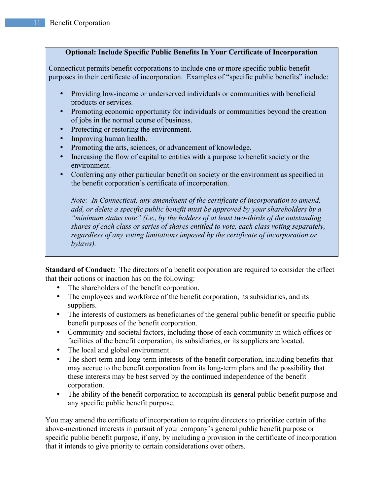### **Optional: Include Specific Public Benefits In Your Certificate of Incorporation**

Connecticut permits benefit corporations to include one or more specific public benefit purposes in their certificate of incorporation. Examples of "specific public benefits" include:

- Providing low-income or underserved individuals or communities with beneficial products or services.
- Promoting economic opportunity for individuals or communities beyond the creation of jobs in the normal course of business.
- Protecting or restoring the environment.
- Improving human health.
- Promoting the arts, sciences, or advancement of knowledge.
- Increasing the flow of capital to entities with a purpose to benefit society or the environment.
- Conferring any other particular benefit on society or the environment as specified in the benefit corporation's certificate of incorporation.

*Note: In Connecticut, any amendment of the certificate of incorporation to amend, add, or delete a specific public benefit must be approved by your shareholders by a "minimum status vote" (i.e., by the holders of at least two-thirds of the outstanding shares of each class or series of shares entitled to vote, each class voting separately, regardless of any voting limitations imposed by the certificate of incorporation or bylaws).*

**Standard of Conduct:** The directors of a benefit corporation are required to consider the effect that their actions or inaction has on the following:

- The shareholders of the benefit corporation.
- The employees and workforce of the benefit corporation, its subsidiaries, and its suppliers.
- The interests of customers as beneficiaries of the general public benefit or specific public benefit purposes of the benefit corporation.
- Community and societal factors, including those of each community in which offices or facilities of the benefit corporation, its subsidiaries, or its suppliers are located.
- The local and global environment.
- The short-term and long-term interests of the benefit corporation, including benefits that may accrue to the benefit corporation from its long-term plans and the possibility that these interests may be best served by the continued independence of the benefit corporation.
- The ability of the benefit corporation to accomplish its general public benefit purpose and any specific public benefit purpose.

You may amend the certificate of incorporation to require directors to prioritize certain of the above-mentioned interests in pursuit of your company's general public benefit purpose or specific public benefit purpose, if any, by including a provision in the certificate of incorporation that it intends to give priority to certain considerations over others.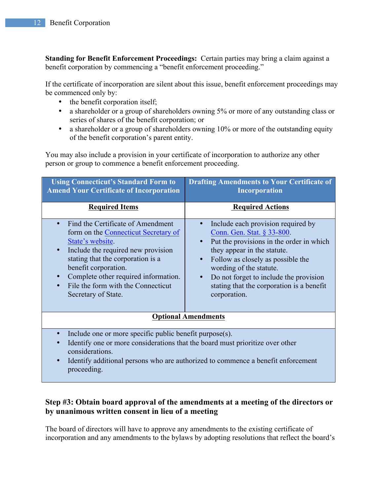**Standing for Benefit Enforcement Proceedings:** Certain parties may bring a claim against a benefit corporation by commencing a "benefit enforcement proceeding."

If the certificate of incorporation are silent about this issue, benefit enforcement proceedings may be commenced only by:

- the benefit corporation itself;
- a shareholder or a group of shareholders owning 5% or more of any outstanding class or series of shares of the benefit corporation; or
- a shareholder or a group of shareholders owning 10% or more of the outstanding equity of the benefit corporation's parent entity.

You may also include a provision in your certificate of incorporation to authorize any other person or group to commence a benefit enforcement proceeding.

| <b>Using Connecticut's Standard Form to</b><br><b>Amend Your Certificate of Incorporation</b>                                                                                                                                                                                                         | <b>Drafting Amendments to Your Certificate of</b><br><b>Incorporation</b>                                                                                                                                                                                                                                                                                 |  |
|-------------------------------------------------------------------------------------------------------------------------------------------------------------------------------------------------------------------------------------------------------------------------------------------------------|-----------------------------------------------------------------------------------------------------------------------------------------------------------------------------------------------------------------------------------------------------------------------------------------------------------------------------------------------------------|--|
| <b>Required Items</b>                                                                                                                                                                                                                                                                                 | <b>Required Actions</b>                                                                                                                                                                                                                                                                                                                                   |  |
| Find the Certificate of Amendment<br>form on the Connecticut Secretary of<br>State's website.<br>Include the required new provision<br>stating that the corporation is a<br>benefit corporation.<br>Complete other required information.<br>File the form with the Connecticut<br>Secretary of State. | Include each provision required by<br>Conn. Gen. Stat. § 33-800.<br>Put the provisions in the order in which<br>$\bullet$<br>they appear in the statute.<br>Follow as closely as possible the<br>$\bullet$<br>wording of the statute.<br>Do not forget to include the provision<br>$\bullet$<br>stating that the corporation is a benefit<br>corporation. |  |
| <b>Optional Amendments</b>                                                                                                                                                                                                                                                                            |                                                                                                                                                                                                                                                                                                                                                           |  |
| Include one or more specific public benefit purpose(s).<br>$\bullet$<br>Identify one or more considerations that the board must prioritize over other<br>considerations.<br>Identify additional persons who are authorized to commence a benefit enforcement<br>proceeding.                           |                                                                                                                                                                                                                                                                                                                                                           |  |

# **Step #3: Obtain board approval of the amendments at a meeting of the directors or by unanimous written consent in lieu of a meeting**

The board of directors will have to approve any amendments to the existing certificate of incorporation and any amendments to the bylaws by adopting resolutions that reflect the board's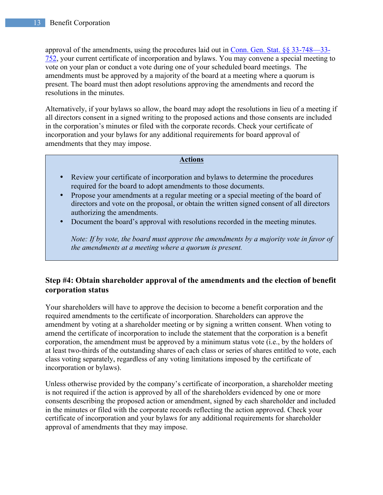approval of the amendments, using the procedures laid out in Conn. Gen. Stat. §§ 33-748—33- 752, your current certificate of incorporation and bylaws. You may convene a special meeting to vote on your plan or conduct a vote during one of your scheduled board meetings. The amendments must be approved by a majority of the board at a meeting where a quorum is present. The board must then adopt resolutions approving the amendments and record the resolutions in the minutes.

Alternatively, if your bylaws so allow, the board may adopt the resolutions in lieu of a meeting if all directors consent in a signed writing to the proposed actions and those consents are included in the corporation's minutes or filed with the corporate records. Check your certificate of incorporation and your bylaws for any additional requirements for board approval of amendments that they may impose.

### **Actions**

- Review your certificate of incorporation and bylaws to determine the procedures required for the board to adopt amendments to those documents.
- Propose your amendments at a regular meeting or a special meeting of the board of directors and vote on the proposal, or obtain the written signed consent of all directors authorizing the amendments.
- Document the board's approval with resolutions recorded in the meeting minutes.

*Note: If by vote, the board must approve the amendments by a majority vote in favor of the amendments at a meeting where a quorum is present.*

# **Step #4: Obtain shareholder approval of the amendments and the election of benefit corporation status**

Your shareholders will have to approve the decision to become a benefit corporation and the required amendments to the certificate of incorporation. Shareholders can approve the amendment by voting at a shareholder meeting or by signing a written consent. When voting to amend the certificate of incorporation to include the statement that the corporation is a benefit corporation, the amendment must be approved by a minimum status vote (i.e., by the holders of at least two-thirds of the outstanding shares of each class or series of shares entitled to vote, each class voting separately, regardless of any voting limitations imposed by the certificate of incorporation or bylaws).

Unless otherwise provided by the company's certificate of incorporation, a shareholder meeting is not required if the action is approved by all of the shareholders evidenced by one or more consents describing the proposed action or amendment, signed by each shareholder and included in the minutes or filed with the corporate records reflecting the action approved. Check your certificate of incorporation and your bylaws for any additional requirements for shareholder approval of amendments that they may impose.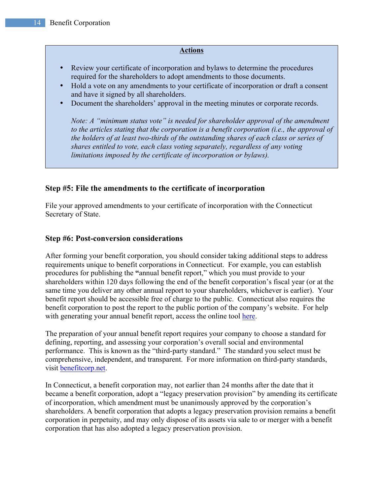### **Actions**

- Review your certificate of incorporation and bylaws to determine the procedures required for the shareholders to adopt amendments to those documents.
- Hold a vote on any amendments to your certificate of incorporation or draft a consent and have it signed by all shareholders.
- Document the shareholders' approval in the meeting minutes or corporate records.

*Note: A "minimum status vote" is needed for shareholder approval of the amendment to the articles stating that the corporation is a benefit corporation (i.e., the approval of the holders of at least two-thirds of the outstanding shares of each class or series of shares entitled to vote, each class voting separately, regardless of any voting limitations imposed by the certificate of incorporation or bylaws).*

### **Step #5: File the amendments to the certificate of incorporation**

File your approved amendments to your certificate of incorporation with the Connecticut Secretary of State.

### **Step #6: Post-conversion considerations**

After forming your benefit corporation, you should consider taking additional steps to address requirements unique to benefit corporations in Connecticut. For example, you can establish procedures for publishing the **"**annual benefit report," which you must provide to your shareholders within 120 days following the end of the benefit corporation's fiscal year (or at the same time you deliver any other annual report to your shareholders, whichever is earlier). Your benefit report should be accessible free of charge to the public. Connecticut also requires the benefit corporation to post the report to the public portion of the company's website. For help with generating your annual benefit report, access the online tool here.

The preparation of your annual benefit report requires your company to choose a standard for defining, reporting, and assessing your corporation's overall social and environmental performance. This is known as the "third-party standard." The standard you select must be comprehensive, independent, and transparent. For more information on third-party standards, visit benefitcorp.net.

In Connecticut, a benefit corporation may, not earlier than 24 months after the date that it became a benefit corporation, adopt a "legacy preservation provision" by amending its certificate of incorporation, which amendment must be unanimously approved by the corporation's shareholders. A benefit corporation that adopts a legacy preservation provision remains a benefit corporation in perpetuity, and may only dispose of its assets via sale to or merger with a benefit corporation that has also adopted a legacy preservation provision.